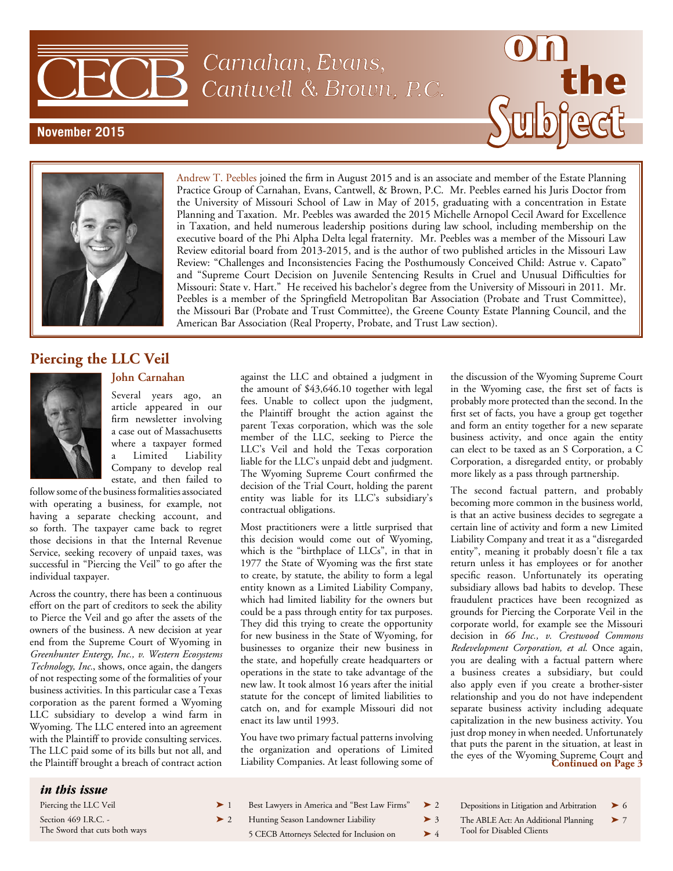Carnahan, Evans, Cantwell & Brown, P.C.

## **November 2015**





Andrew T. Peebles joined the firm in August 2015 and is an associate and member of the Estate Planning Practice Group of Carnahan, Evans, Cantwell, & Brown, P.C. Mr. Peebles earned his Juris Doctor from the University of Missouri School of Law in May of 2015, graduating with a concentration in Estate Planning and Taxation. Mr. Peebles was awarded the 2015 Michelle Arnopol Cecil Award for Excellence in Taxation, and held numerous leadership positions during law school, including membership on the executive board of the Phi Alpha Delta legal fraternity. Mr. Peebles was a member of the Missouri Law Review editorial board from 2013-2015, and is the author of two published articles in the Missouri Law Review: "Challenges and Inconsistencies Facing the Posthumously Conceived Child: Astrue v. Capato" and "Supreme Court Decision on Juvenile Sentencing Results in Cruel and Unusual Difficulties for Missouri: State v. Hart." He received his bachelor's degree from the University of Missouri in 2011. Mr. Peebles is a member of the Springfield Metropolitan Bar Association (Probate and Trust Committee), the Missouri Bar (Probate and Trust Committee), the Greene County Estate Planning Council, and the American Bar Association (Real Property, Probate, and Trust Law section).

# **Piercing the LLC Veil**

### **John Carnahan**

Several years ago, an article appeared in our firm newsletter involving a case out of Massachusetts where a taxpayer formed Limited Liability Company to develop real estate, and then failed to

follow some of the business formalities associated with operating a business, for example, not having a separate checking account, and so forth. The taxpayer came back to regret those decisions in that the Internal Revenue Service, seeking recovery of unpaid taxes, was successful in "Piercing the Veil" to go after the individual taxpayer.

Across the country, there has been a continuous effort on the part of creditors to seek the ability to Pierce the Veil and go after the assets of the owners of the business. A new decision at year end from the Supreme Court of Wyoming in *Greenhunter Entergy, Inc., v. Western Ecosystems Technology, Inc.*, shows, once again, the dangers of not respecting some of the formalities of your business activities. In this particular case a Texas corporation as the parent formed a Wyoming LLC subsidiary to develop a wind farm in Wyoming. The LLC entered into an agreement with the Plaintiff to provide consulting services. The LLC paid some of its bills but not all, and the Plaintiff brought a breach of contract action against the LLC and obtained a judgment in the amount of \$43,646.10 together with legal fees. Unable to collect upon the judgment, the Plaintiff brought the action against the parent Texas corporation, which was the sole member of the LLC, seeking to Pierce the LLC's Veil and hold the Texas corporation liable for the LLC's unpaid debt and judgment. The Wyoming Supreme Court confirmed the decision of the Trial Court, holding the parent entity was liable for its LLC's subsidiary's contractual obligations.

Most practitioners were a little surprised that this decision would come out of Wyoming, which is the "birthplace of LLCs", in that in 1977 the State of Wyoming was the first state to create, by statute, the ability to form a legal entity known as a Limited Liability Company, which had limited liability for the owners but could be a pass through entity for tax purposes. They did this trying to create the opportunity for new business in the State of Wyoming, for businesses to organize their new business in the state, and hopefully create headquarters or operations in the state to take advantage of the new law. It took almost 16 years after the initial statute for the concept of limited liabilities to catch on, and for example Missouri did not enact its law until 1993.

You have two primary factual patterns involving the organization and operations of Limited Liability Companies. At least following some of

the discussion of the Wyoming Supreme Court in the Wyoming case, the first set of facts is probably more protected than the second. In the first set of facts, you have a group get together and form an entity together for a new separate business activity, and once again the entity can elect to be taxed as an S Corporation, a C Corporation, a disregarded entity, or probably more likely as a pass through partnership.

The second factual pattern, and probably becoming more common in the business world, is that an active business decides to segregate a certain line of activity and form a new Limited Liability Company and treat it as a "disregarded entity", meaning it probably doesn't file a tax return unless it has employees or for another specific reason. Unfortunately its operating subsidiary allows bad habits to develop. These fraudulent practices have been recognized as grounds for Piercing the Corporate Veil in the corporate world, for example see the Missouri decision in *66 Inc., v. Crestwood Commons Redevelopment Corporation, et al.* Once again, you are dealing with a factual pattern where a business creates a subsidiary, but could also apply even if you create a brother-sister relationship and you do not have independent separate business activity including adequate capitalization in the new business activity. You just drop money in when needed. Unfortunately that puts the parent in the situation, at least in the eyes of the Wyoming Supreme Court and **Continued on Page 3**

| <i>in this issue</i>          |          |                                              |          |                                                              |  |
|-------------------------------|----------|----------------------------------------------|----------|--------------------------------------------------------------|--|
| Piercing the LLC Veil         |          | Best Lawyers in America and "Best Law Firms" | $\geq 2$ | Depositions in Litigation and Arbitration $\triangleright$ 6 |  |
| Section 469 I.R.C. -          | $\geq 2$ | Hunting Season Landowner Liability           | $\geq 3$ | The ABLE Act: An Additional Planning $\triangleright$ 7      |  |
| The Sword that cuts both ways |          | 5 CECB Attorneys Selected for Inclusion on   | $\geq 4$ | Tool for Disabled Clients                                    |  |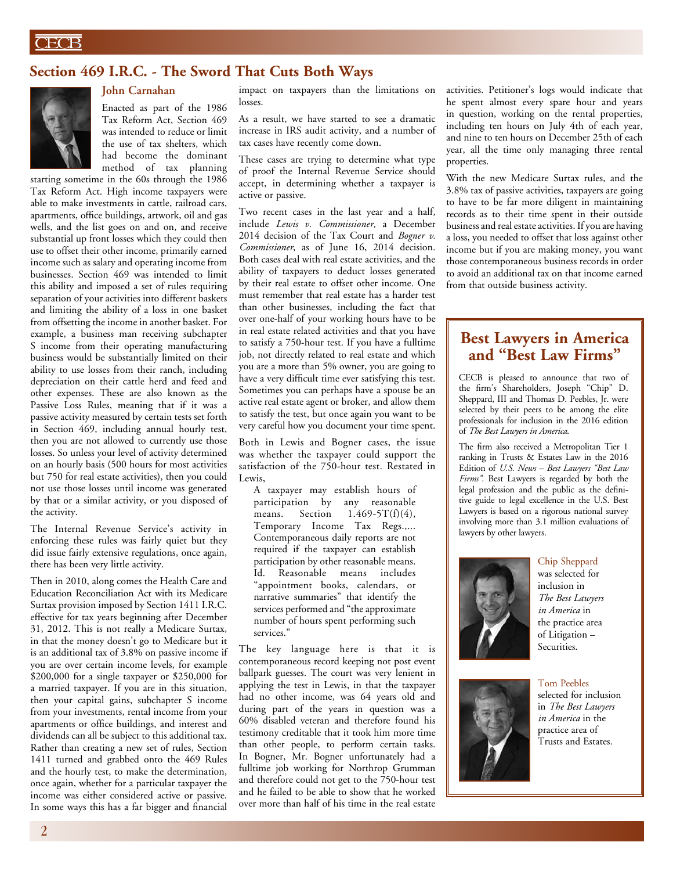# **Section 469 I.R.C. - The Sword That Cuts Both Ways**



## **John Carnahan**

Enacted as part of the 1986 Tax Reform Act, Section 469 was intended to reduce or limit the use of tax shelters, which had become the dominant method of tax planning

starting sometime in the 60s through the 1986 Tax Reform Act. High income taxpayers were able to make investments in cattle, railroad cars, apartments, office buildings, artwork, oil and gas wells, and the list goes on and on, and receive substantial up front losses which they could then use to offset their other income, primarily earned income such as salary and operating income from businesses. Section 469 was intended to limit this ability and imposed a set of rules requiring separation of your activities into different baskets and limiting the ability of a loss in one basket from offsetting the income in another basket. For example, a business man receiving subchapter S income from their operating manufacturing business would be substantially limited on their ability to use losses from their ranch, including depreciation on their cattle herd and feed and other expenses. These are also known as the Passive Loss Rules, meaning that if it was a passive activity measured by certain tests set forth in Section 469, including annual hourly test, then you are not allowed to currently use those losses. So unless your level of activity determined on an hourly basis (500 hours for most activities but 750 for real estate activities), then you could not use those losses until income was generated by that or a similar activity, or you disposed of the activity.

The Internal Revenue Service's activity in enforcing these rules was fairly quiet but they did issue fairly extensive regulations, once again, there has been very little activity.

Then in 2010, along comes the Health Care and Education Reconciliation Act with its Medicare Surtax provision imposed by Section 1411 I.R.C. effective for tax years beginning after December 31, 2012. This is not really a Medicare Surtax, in that the money doesn't go to Medicare but it is an additional tax of 3.8% on passive income if you are over certain income levels, for example \$200,000 for a single taxpayer or \$250,000 for a married taxpayer. If you are in this situation, then your capital gains, subchapter S income from your investments, rental income from your apartments or office buildings, and interest and dividends can all be subject to this additional tax. Rather than creating a new set of rules, Section 1411 turned and grabbed onto the 469 Rules and the hourly test, to make the determination, once again, whether for a particular taxpayer the income was either considered active or passive. In some ways this has a far bigger and financial

impact on taxpayers than the limitations on losses.

As a result, we have started to see a dramatic increase in IRS audit activity, and a number of tax cases have recently come down.

These cases are trying to determine what type of proof the Internal Revenue Service should accept, in determining whether a taxpayer is active or passive.

Two recent cases in the last year and a half, include *Lewis v. Commissioner,* a December 2014 decision of the Tax Court and *Bogner v. Commissioner*, as of June 16, 2014 decision. Both cases deal with real estate activities, and the ability of taxpayers to deduct losses generated by their real estate to offset other income. One must remember that real estate has a harder test than other businesses, including the fact that over one-half of your working hours have to be in real estate related activities and that you have to satisfy a 750-hour test. If you have a fulltime job, not directly related to real estate and which you are a more than 5% owner, you are going to have a very difficult time ever satisfying this test. Sometimes you can perhaps have a spouse be an active real estate agent or broker, and allow them to satisfy the test, but once again you want to be very careful how you document your time spent.

Both in Lewis and Bogner cases, the issue was whether the taxpayer could support the satisfaction of the 750-hour test. Restated in Lewis,

A taxpayer may establish hours of participation by any reasonable means. Section  $1.469-5T(f)(4)$ , Temporary Income Tax Regs.,... Contemporaneous daily reports are not required if the taxpayer can establish participation by other reasonable means. Id. Reasonable means includes "appointment books, calendars, or narrative summaries" that identify the services performed and "the approximate number of hours spent performing such services.'

The key language here is that it is contemporaneous record keeping not post event ballpark guesses. The court was very lenient in applying the test in Lewis, in that the taxpayer had no other income, was 64 years old and during part of the years in question was a 60% disabled veteran and therefore found his testimony creditable that it took him more time than other people, to perform certain tasks. In Bogner, Mr. Bogner unfortunately had a fulltime job working for Northrop Grumman and therefore could not get to the 750-hour test and he failed to be able to show that he worked over more than half of his time in the real estate

activities. Petitioner's logs would indicate that he spent almost every spare hour and years in question, working on the rental properties, including ten hours on July 4th of each year, and nine to ten hours on December 25th of each year, all the time only managing three rental properties.

With the new Medicare Surtax rules, and the 3.8% tax of passive activities, taxpayers are going to have to be far more diligent in maintaining records as to their time spent in their outside business and real estate activities. If you are having a loss, you needed to offset that loss against other income but if you are making money, you want those contemporaneous business records in order to avoid an additional tax on that income earned from that outside business activity.

# **Best Lawyers in America and "Best Law Firms"**

CECB is pleased to announce that two of the firm's Shareholders, Joseph "Chip" D. Sheppard, III and Thomas D. Peebles, Jr. were selected by their peers to be among the elite professionals for inclusion in the 2016 edition of *The Best Lawyers in America*.

The firm also received a Metropolitan Tier 1 ranking in Trusts & Estates Law in the 2016 Edition of *U.S. News – Best Lawyers "Best Law Firms"*. Best Lawyers is regarded by both the legal profession and the public as the definitive guide to legal excellence in the U.S. Best Lawyers is based on a rigorous national survey involving more than 3.1 million evaluations of lawyers by other lawyers.



Chip Sheppard was selected for inclusion in *The Best Lawyers in America* in the practice area of Litigation – Securities.



Tom Peebles selected for inclusion in *The Best Lawyers in America* in the practice area of Trusts and Estates.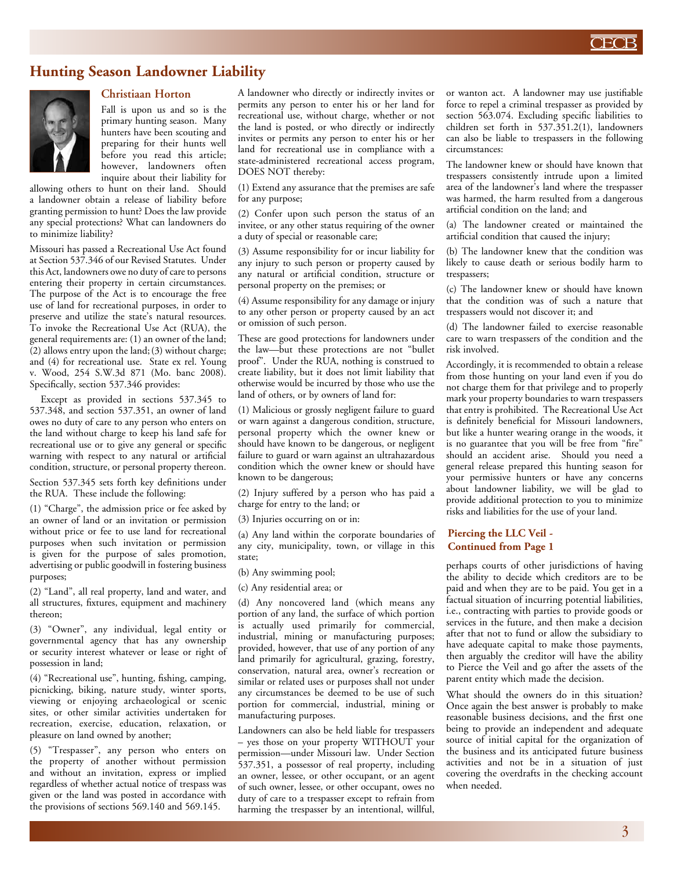

## **Hunting Season Landowner Liability**



### **Christiaan Horton**

Fall is upon us and so is the primary hunting season. Many hunters have been scouting and preparing for their hunts well before you read this article; however, landowners often inquire about their liability for

allowing others to hunt on their land. Should a landowner obtain a release of liability before granting permission to hunt? Does the law provide any special protections? What can landowners do to minimize liability?

Missouri has passed a Recreational Use Act found at Section 537.346 of our Revised Statutes. Under this Act, landowners owe no duty of care to persons entering their property in certain circumstances. The purpose of the Act is to encourage the free use of land for recreational purposes, in order to preserve and utilize the state's natural resources. To invoke the Recreational Use Act (RUA), the general requirements are: (1) an owner of the land; (2) allows entry upon the land;(3) without charge; and (4) for recreational use. State ex rel. Young v. Wood, 254 S.W.3d 871 (Mo. banc 2008). Specifically, section 537.346 provides:

Except as provided in sections 537.345 to 537.348, and section 537.351, an owner of land owes no duty of care to any person who enters on the land without charge to keep his land safe for recreational use or to give any general or specific warning with respect to any natural or artificial condition, structure, or personal property thereon.

Section 537.345 sets forth key definitions under the RUA. These include the following:

(1) "Charge", the admission price or fee asked by an owner of land or an invitation or permission without price or fee to use land for recreational purposes when such invitation or permission is given for the purpose of sales promotion, advertising or public goodwill in fostering business purposes;

(2) "Land", all real property, land and water, and all structures, fixtures, equipment and machinery thereon;

(3) "Owner", any individual, legal entity or governmental agency that has any ownership or security interest whatever or lease or right of possession in land;

(4) "Recreational use", hunting, fishing, camping, picnicking, biking, nature study, winter sports, viewing or enjoying archaeological or scenic sites, or other similar activities undertaken for recreation, exercise, education, relaxation, or pleasure on land owned by another;

(5) "Trespasser", any person who enters on the property of another without permission and without an invitation, express or implied regardless of whether actual notice of trespass was given or the land was posted in accordance with the provisions of sections 569.140 and 569.145.

A landowner who directly or indirectly invites or permits any person to enter his or her land for recreational use, without charge, whether or not the land is posted, or who directly or indirectly invites or permits any person to enter his or her land for recreational use in compliance with a state-administered recreational access program, DOES NOT thereby:

(1) Extend any assurance that the premises are safe for any purpose;

(2) Confer upon such person the status of an invitee, or any other status requiring of the owner a duty of special or reasonable care;

(3) Assume responsibility for or incur liability for any injury to such person or property caused by any natural or artificial condition, structure or personal property on the premises; or

(4) Assume responsibility for any damage or injury to any other person or property caused by an act or omission of such person.

These are good protections for landowners under the law—but these protections are not "bullet proof". Under the RUA, nothing is construed to create liability, but it does not limit liability that otherwise would be incurred by those who use the land of others, or by owners of land for:

(1) Malicious or grossly negligent failure to guard or warn against a dangerous condition, structure, personal property which the owner knew or should have known to be dangerous, or negligent failure to guard or warn against an ultrahazardous condition which the owner knew or should have known to be dangerous;

(2) Injury suffered by a person who has paid a charge for entry to the land; or

(3) Injuries occurring on or in:

(a) Any land within the corporate boundaries of any city, municipality, town, or village in this state;

(b) Any swimming pool;

(c) Any residential area; or

(d) Any noncovered land (which means any portion of any land, the surface of which portion is actually used primarily for commercial, industrial, mining or manufacturing purposes; provided, however, that use of any portion of any land primarily for agricultural, grazing, forestry, conservation, natural area, owner's recreation or similar or related uses or purposes shall not under any circumstances be deemed to be use of such portion for commercial, industrial, mining or manufacturing purposes.

Landowners can also be held liable for trespassers – yes those on your property WITHOUT your permission—under Missouri law. Under Section 537.351, a possessor of real property, including an owner, lessee, or other occupant, or an agent of such owner, lessee, or other occupant, owes no duty of care to a trespasser except to refrain from harming the trespasser by an intentional, willful,

or wanton act. A landowner may use justifiable force to repel a criminal trespasser as provided by section 563.074. Excluding specific liabilities to children set forth in 537.351.2(1), landowners can also be liable to trespassers in the following circumstances:

The landowner knew or should have known that trespassers consistently intrude upon a limited area of the landowner's land where the trespasser was harmed, the harm resulted from a dangerous artificial condition on the land; and

(a) The landowner created or maintained the artificial condition that caused the injury;

(b) The landowner knew that the condition was likely to cause death or serious bodily harm to trespassers;

(c) The landowner knew or should have known that the condition was of such a nature that trespassers would not discover it; and

(d) The landowner failed to exercise reasonable care to warn trespassers of the condition and the risk involved.

Accordingly, it is recommended to obtain a release from those hunting on your land even if you do not charge them for that privilege and to properly mark your property boundaries to warn trespassers that entry is prohibited. The Recreational Use Act is definitely beneficial for Missouri landowners, but like a hunter wearing orange in the woods, it is no guarantee that you will be free from "fire" should an accident arise. Should you need a general release prepared this hunting season for your permissive hunters or have any concerns about landowner liability, we will be glad to provide additional protection to you to minimize risks and liabilities for the use of your land.

#### **Piercing the LLC Veil - Continued from Page 1**

perhaps courts of other jurisdictions of having the ability to decide which creditors are to be paid and when they are to be paid. You get in a factual situation of incurring potential liabilities, i.e., contracting with parties to provide goods or services in the future, and then make a decision after that not to fund or allow the subsidiary to have adequate capital to make those payments, then arguably the creditor will have the ability to Pierce the Veil and go after the assets of the parent entity which made the decision.

What should the owners do in this situation? Once again the best answer is probably to make reasonable business decisions, and the first one being to provide an independent and adequate source of initial capital for the organization of the business and its anticipated future business activities and not be in a situation of just covering the overdrafts in the checking account when needed.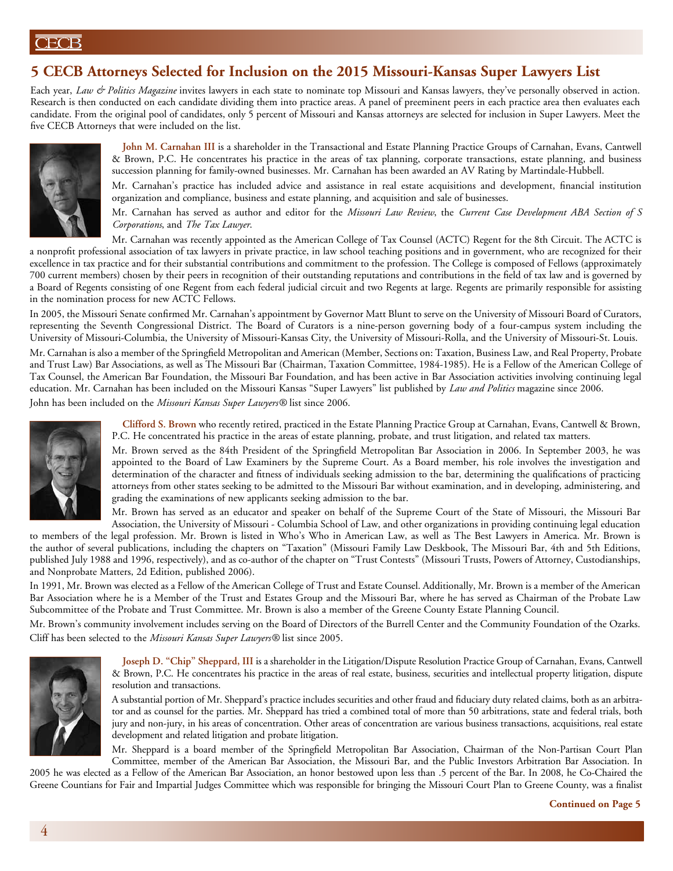# **5 CECB Attorneys Selected for Inclusion on the 2015 Missouri-Kansas Super Lawyers List**

Each year, *Law & Politics Magazine* invites lawyers in each state to nominate top Missouri and Kansas lawyers, they've personally observed in action. Research is then conducted on each candidate dividing them into practice areas. A panel of preeminent peers in each practice area then evaluates each candidate. From the original pool of candidates, only 5 percent of Missouri and Kansas attorneys are selected for inclusion in Super Lawyers. Meet the five CECB Attorneys that were included on the list.



**John M. Carnahan III** is a shareholder in the Transactional and Estate Planning Practice Groups of Carnahan, Evans, Cantwell & Brown, P.C. He concentrates his practice in the areas of tax planning, corporate transactions, estate planning, and business succession planning for family-owned businesses. Mr. Carnahan has been awarded an AV Rating by Martindale-Hubbell.

Mr. Carnahan's practice has included advice and assistance in real estate acquisitions and development, financial institution organization and compliance, business and estate planning, and acquisition and sale of businesses.

Mr. Carnahan has served as author and editor for the *Missouri Law Review*, the *Current Case Development ABA Section of S Corporations*, and *The Tax Lawyer*.

Mr. Carnahan was recently appointed as the American College of Tax Counsel (ACTC) Regent for the 8th Circuit. The ACTC is a nonprofit professional association of tax lawyers in private practice, in law school teaching positions and in government, who are recognized for their excellence in tax practice and for their substantial contributions and commitment to the profession. The College is composed of Fellows (approximately 700 current members) chosen by their peers in recognition of their outstanding reputations and contributions in the field of tax law and is governed by a Board of Regents consisting of one Regent from each federal judicial circuit and two Regents at large. Regents are primarily responsible for assisting in the nomination process for new ACTC Fellows.

In 2005, the Missouri Senate confirmed Mr. Carnahan's appointment by Governor Matt Blunt to serve on the University of Missouri Board of Curators, representing the Seventh Congressional District. The Board of Curators is a nine-person governing body of a four-campus system including the University of Missouri-Columbia, the University of Missouri-Kansas City, the University of Missouri-Rolla, and the University of Missouri-St. Louis.

Mr. Carnahan is also a member of the Springfield Metropolitan and American (Member, Sections on: Taxation, Business Law, and Real Property, Probate and Trust Law) Bar Associations, as well as The Missouri Bar (Chairman, Taxation Committee, 1984-1985). He is a Fellow of the American College of Tax Counsel, the American Bar Foundation, the Missouri Bar Foundation, and has been active in Bar Association activities involving continuing legal education. Mr. Carnahan has been included on the Missouri Kansas "Super Lawyers" list published by *Law and Politics* magazine since 2006. John has been included on the *Missouri Kansas Super Lawyers®* list since 2006.



**Clifford S. Brown** who recently retired, practiced in the Estate Planning Practice Group at Carnahan, Evans, Cantwell & Brown, P.C. He concentrated his practice in the areas of estate planning, probate, and trust litigation, and related tax matters.

Mr. Brown served as the 84th President of the Springfield Metropolitan Bar Association in 2006. In September 2003, he was appointed to the Board of Law Examiners by the Supreme Court. As a Board member, his role involves the investigation and determination of the character and fitness of individuals seeking admission to the bar, determining the qualifications of practicing attorneys from other states seeking to be admitted to the Missouri Bar without examination, and in developing, administering, and grading the examinations of new applicants seeking admission to the bar.

Mr. Brown has served as an educator and speaker on behalf of the Supreme Court of the State of Missouri, the Missouri Bar Association, the University of Missouri - Columbia School of Law, and other organizations in providing continuing legal education

to members of the legal profession. Mr. Brown is listed in Who's Who in American Law, as well as The Best Lawyers in America. Mr. Brown is the author of several publications, including the chapters on "Taxation" (Missouri Family Law Deskbook, The Missouri Bar, 4th and 5th Editions, published July 1988 and 1996, respectively), and as co-author of the chapter on "Trust Contests" (Missouri Trusts, Powers of Attorney, Custodianships, and Nonprobate Matters, 2d Edition, published 2006).

In 1991, Mr. Brown was elected as a Fellow of the American College of Trust and Estate Counsel. Additionally, Mr. Brown is a member of the American Bar Association where he is a Member of the Trust and Estates Group and the Missouri Bar, where he has served as Chairman of the Probate Law Subcommittee of the Probate and Trust Committee. Mr. Brown is also a member of the Greene County Estate Planning Council.

Mr. Brown's community involvement includes serving on the Board of Directors of the Burrell Center and the Community Foundation of the Ozarks. Cliff has been selected to the *Missouri Kansas Super Lawyers®* list since 2005.



**joseph D. "Chip" Sheppard, III** is a shareholder in the Litigation/Dispute Resolution Practice Group of Carnahan, Evans, Cantwell & Brown, P.C. He concentrates his practice in the areas of real estate, business, securities and intellectual property litigation, dispute resolution and transactions.

A substantial portion of Mr. Sheppard's practice includes securities and other fraud and fiduciary duty related claims, both as an arbitrator and as counsel for the parties. Mr. Sheppard has tried a combined total of more than 50 arbitrations, state and federal trials, both jury and non-jury, in his areas of concentration. Other areas of concentration are various business transactions, acquisitions, real estate development and related litigation and probate litigation.

Mr. Sheppard is a board member of the Springfield Metropolitan Bar Association, Chairman of the Non-Partisan Court Plan Committee, member of the American Bar Association, the Missouri Bar, and the Public Investors Arbitration Bar Association. In

2005 he was elected as a Fellow of the American Bar Association, an honor bestowed upon less than .5 percent of the Bar. In 2008, he Co-Chaired the Greene Countians for Fair and Impartial Judges Committee which was responsible for bringing the Missouri Court Plan to Greene County, was a finalist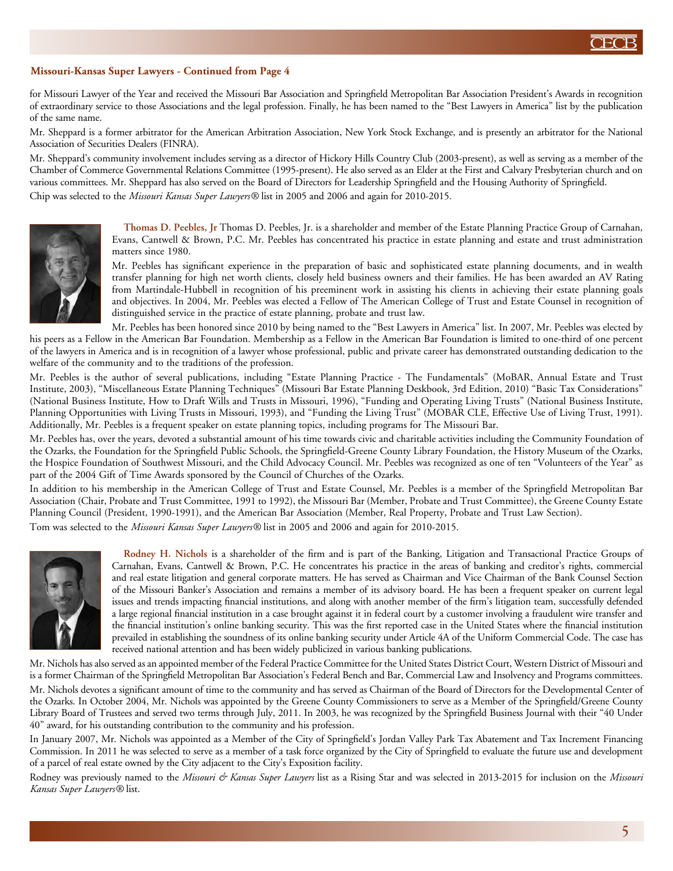### **Missouri-Kansas Super Lawyers - Continued from Page 4**

for Missouri Lawyer of the Year and received the Missouri Bar Association and Springfield Metropolitan Bar Association President's Awards in recognition of extraordinary service to those Associations and the legal profession. Finally, he has been named to the "Best Lawyers in America" list by the publication of the same name.

Mr. Sheppard is a former arbitrator for the American Arbitration Association, New York Stock Exchange, and is presently an arbitrator for the National Association of Securities Dealers (FINRA).

Mr. Sheppard's community involvement includes serving as a director of Hickory Hills Country Club (2003-present), as well as serving as a member of the Chamber of Commerce Governmental Relations Committee (1995-present). He also served as an Elder at the First and Calvary Presbyterian church and on various committees. Mr. Sheppard has also served on the Board of Directors for Leadership Springfield and the Housing Authority of Springfield. Chip was selected to the *Missouri Kansas Super Lawyers®* list in 2005 and 2006 and again for 2010-2015.



**Thomas D. Peebles, Jr** Thomas D. Peebles, Jr. is a shareholder and member of the Estate Planning Practice Group of Carnahan, Evans, Cantwell & Brown, P.C. Mr. Peebles has concentrated his practice in estate planning and estate and trust administration matters since 1980.

Mr. Peebles has significant experience in the preparation of basic and sophisticated estate planning documents, and in wealth transfer planning for high net worth clients, closely held business owners and their families. He has been awarded an AV Rating from Martindale-Hubbell in recognition of his preeminent work in assisting his clients in achieving their estate planning goals and objectives. In 2004, Mr. Peebles was elected a Fellow of The American College of Trust and Estate Counsel in recognition of distinguished service in the practice of estate planning, probate and trust law.

Mr. Peebles has been honored since 2010 by being named to the "Best Lawyers in America" list. In 2007, Mr. Peebles was elected by his peers as a Fellow in the American Bar Foundation. Membership as a Fellow in the American Bar Foundation is limited to one-third of one percent of the lawyers in America and is in recognition of a lawyer whose professional, public and private career has demonstrated outstanding dedication to the welfare of the community and to the traditions of the profession.

Mr. Peebles is the author of several publications, including "Estate Planning Practice - The Fundamentals" (MoBAR, Annual Estate and Trust Institute, 2003), "Miscellaneous Estate Planning Techniques" (Missouri Bar Estate Planning Deskbook, 3rd Edition, 2010) "Basic Tax Considerations" (National Business Institute, How to Draft Wills and Trusts in Missouri, 1996), "Funding and Operating Living Trusts" (National Business Institute, Planning Opportunities with Living Trusts in Missouri, 1993), and "Funding the Living Trust" (MOBAR CLE, Effective Use of Living Trust, 1991). Additionally, Mr. Peebles is a frequent speaker on estate planning topics, including programs for The Missouri Bar.

Mr. Peebles has, over the years, devoted a substantial amount of his time towards civic and charitable activities including the Community Foundation of the Ozarks, the Foundation for the Springfield Public Schools, the Springfield-Greene County Library Foundation, the History Museum of the Ozarks, the Hospice Foundation of Southwest Missouri, and the Child Advocacy Council. Mr. Peebles was recognized as one of ten "Volunteers of the Year" as part of the 2004 Gift of Time Awards sponsored by the Council of Churches of the Ozarks.

In addition to his membership in the American College of Trust and Estate Counsel, Mr. Peebles is a member of the Springfield Metropolitan Bar Association (Chair, Probate and Trust Committee, 1991 to 1992), the Missouri Bar (Member, Probate and Trust Committee), the Greene County Estate Planning Council (President, 1990-1991), and the American Bar Association (Member, Real Property, Probate and Trust Law Section). Tom was selected to the *Missouri Kansas Super Lawyers®* list in 2005 and 2006 and again for 2010-2015.



**Rodney H. Nichols** is a shareholder of the firm and is part of the Banking, Litigation and Transactional Practice Groups of Carnahan, Evans, Cantwell & Brown, P.C. He concentrates his practice in the areas of banking and creditor's rights, commercial and real estate litigation and general corporate matters. He has served as Chairman and Vice Chairman of the Bank Counsel Section of the Missouri Banker's Association and remains a member of its advisory board. He has been a frequent speaker on current legal issues and trends impacting financial institutions, and along with another member of the firm's litigation team, successfully defended a large regional financial institution in a case brought against it in federal court by a customer involving a fraudulent wire transfer and the financial institution's online banking security. This was the first reported case in the United States where the financial institution prevailed in establishing the soundness of its online banking security under Article 4A of the Uniform Commercial Code. The case has received national attention and has been widely publicized in various banking publications.

Mr. Nichols has also served as an appointed member of the Federal Practice Committee for the United States District Court, Western District of Missouri and is a former Chairman of the Springfield Metropolitan Bar Association's Federal Bench and Bar, Commercial Law and Insolvency and Programs committees. Mr. Nichols devotes a significant amount of time to the community and has served as Chairman of the Board of Directors for the Developmental Center of the Ozarks. In October 2004, Mr. Nichols was appointed by the Greene County Commissioners to serve as a Member of the Springfield/Greene County Library Board of Trustees and served two terms through July, 2011. In 2003, he was recognized by the Springfield Business Journal with their "40 Under 40" award, for his outstanding contribution to the community and his profession.

In January 2007, Mr. Nichols was appointed as a Member of the City of Springfield's Jordan Valley Park Tax Abatement and Tax Increment Financing Commission. In 2011 he was selected to serve as a member of a task force organized by the City of Springfield to evaluate the future use and development of a parcel of real estate owned by the City adjacent to the City's Exposition facility.

Rodney was previously named to the *Missouri & Kansas Super Lawyers* list as a Rising Star and was selected in 2013-2015 for inclusion on the *Missouri Kansas Super Lawyers®* list.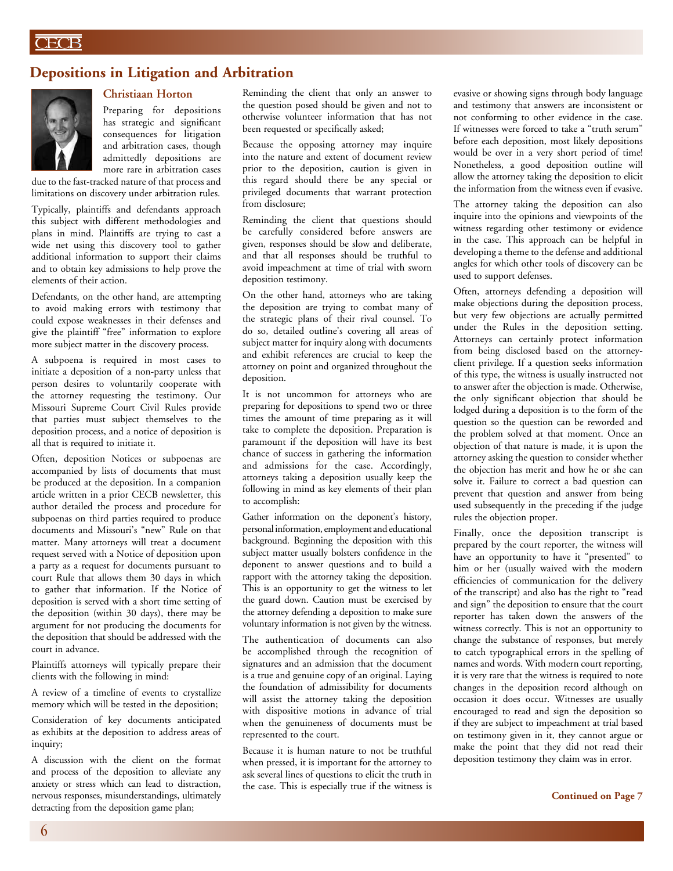## **Depositions in Litigation and Arbitration**



## **Christiaan Horton**

Preparing for depositions has strategic and significant consequences for litigation and arbitration cases, though admittedly depositions are more rare in arbitration cases

due to the fast-tracked nature of that process and limitations on discovery under arbitration rules.

Typically, plaintiffs and defendants approach this subject with different methodologies and plans in mind. Plaintiffs are trying to cast a wide net using this discovery tool to gather additional information to support their claims and to obtain key admissions to help prove the elements of their action.

Defendants, on the other hand, are attempting to avoid making errors with testimony that could expose weaknesses in their defenses and give the plaintiff "free" information to explore more subject matter in the discovery process.

A subpoena is required in most cases to initiate a deposition of a non-party unless that person desires to voluntarily cooperate with the attorney requesting the testimony. Our Missouri Supreme Court Civil Rules provide that parties must subject themselves to the deposition process, and a notice of deposition is all that is required to initiate it.

Often, deposition Notices or subpoenas are accompanied by lists of documents that must be produced at the deposition. In a companion article written in a prior CECB newsletter, this author detailed the process and procedure for subpoenas on third parties required to produce documents and Missouri's "new" Rule on that matter. Many attorneys will treat a document request served with a Notice of deposition upon a party as a request for documents pursuant to court Rule that allows them 30 days in which to gather that information. If the Notice of deposition is served with a short time setting of the deposition (within 30 days), there may be argument for not producing the documents for the deposition that should be addressed with the court in advance.

Plaintiffs attorneys will typically prepare their clients with the following in mind:

A review of a timeline of events to crystallize memory which will be tested in the deposition;

Consideration of key documents anticipated as exhibits at the deposition to address areas of inquiry;

A discussion with the client on the format and process of the deposition to alleviate any anxiety or stress which can lead to distraction, nervous responses, misunderstandings, ultimately detracting from the deposition game plan;

Reminding the client that only an answer to the question posed should be given and not to otherwise volunteer information that has not been requested or specifically asked;

Because the opposing attorney may inquire into the nature and extent of document review prior to the deposition, caution is given in this regard should there be any special or privileged documents that warrant protection from disclosure;

Reminding the client that questions should be carefully considered before answers are given, responses should be slow and deliberate, and that all responses should be truthful to avoid impeachment at time of trial with sworn deposition testimony.

On the other hand, attorneys who are taking the deposition are trying to combat many of the strategic plans of their rival counsel. To do so, detailed outline's covering all areas of subject matter for inquiry along with documents and exhibit references are crucial to keep the attorney on point and organized throughout the deposition.

It is not uncommon for attorneys who are preparing for depositions to spend two or three times the amount of time preparing as it will take to complete the deposition. Preparation is paramount if the deposition will have its best chance of success in gathering the information and admissions for the case. Accordingly, attorneys taking a deposition usually keep the following in mind as key elements of their plan to accomplish:

Gather information on the deponent's history, personal information, employment and educational background. Beginning the deposition with this subject matter usually bolsters confidence in the deponent to answer questions and to build a rapport with the attorney taking the deposition. This is an opportunity to get the witness to let the guard down. Caution must be exercised by the attorney defending a deposition to make sure voluntary information is not given by the witness.

The authentication of documents can also be accomplished through the recognition of signatures and an admission that the document is a true and genuine copy of an original. Laying the foundation of admissibility for documents will assist the attorney taking the deposition with dispositive motions in advance of trial when the genuineness of documents must be represented to the court.

Because it is human nature to not be truthful when pressed, it is important for the attorney to ask several lines of questions to elicit the truth in the case. This is especially true if the witness is evasive or showing signs through body language and testimony that answers are inconsistent or not conforming to other evidence in the case. If witnesses were forced to take a "truth serum" before each deposition, most likely depositions would be over in a very short period of time! Nonetheless, a good deposition outline will allow the attorney taking the deposition to elicit the information from the witness even if evasive.

The attorney taking the deposition can also inquire into the opinions and viewpoints of the witness regarding other testimony or evidence in the case. This approach can be helpful in developing a theme to the defense and additional angles for which other tools of discovery can be used to support defenses.

Often, attorneys defending a deposition will make objections during the deposition process, but very few objections are actually permitted under the Rules in the deposition setting. Attorneys can certainly protect information from being disclosed based on the attorneyclient privilege. If a question seeks information of this type, the witness is usually instructed not to answer after the objection is made. Otherwise, the only significant objection that should be lodged during a deposition is to the form of the question so the question can be reworded and the problem solved at that moment. Once an objection of that nature is made, it is upon the attorney asking the question to consider whether the objection has merit and how he or she can solve it. Failure to correct a bad question can prevent that question and answer from being used subsequently in the preceding if the judge rules the objection proper.

Finally, once the deposition transcript is prepared by the court reporter, the witness will have an opportunity to have it "presented" to him or her (usually waived with the modern efficiencies of communication for the delivery of the transcript) and also has the right to "read and sign" the deposition to ensure that the court reporter has taken down the answers of the witness correctly. This is not an opportunity to change the substance of responses, but merely to catch typographical errors in the spelling of names and words. With modern court reporting, it is very rare that the witness is required to note changes in the deposition record although on occasion it does occur. Witnesses are usually encouraged to read and sign the deposition so if they are subject to impeachment at trial based on testimony given in it, they cannot argue or make the point that they did not read their deposition testimony they claim was in error.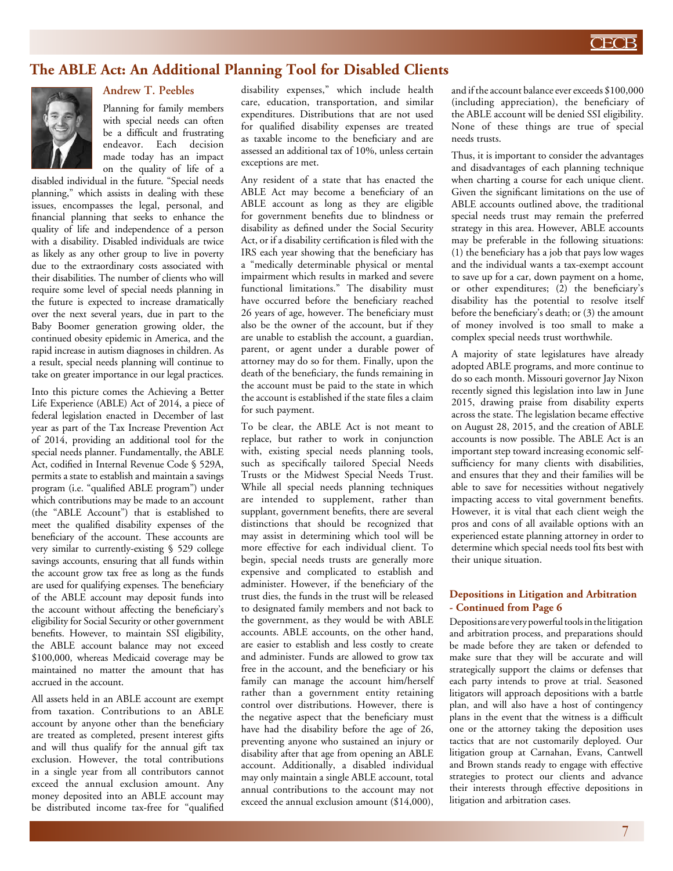

# **The ABLE Act: An Additional Planning Tool for Disabled Clients**



# **Andrew T. Peebles**

Planning for family members with special needs can often be a difficult and frustrating endeavor. Each decision made today has an impact on the quality of life of a

disabled individual in the future. "Special needs planning," which assists in dealing with these issues, encompasses the legal, personal, and financial planning that seeks to enhance the quality of life and independence of a person with a disability. Disabled individuals are twice as likely as any other group to live in poverty due to the extraordinary costs associated with their disabilities. The number of clients who will require some level of special needs planning in the future is expected to increase dramatically over the next several years, due in part to the Baby Boomer generation growing older, the continued obesity epidemic in America, and the rapid increase in autism diagnoses in children. As a result, special needs planning will continue to take on greater importance in our legal practices.

Into this picture comes the Achieving a Better Life Experience (ABLE) Act of 2014, a piece of federal legislation enacted in December of last year as part of the Tax Increase Prevention Act of 2014, providing an additional tool for the special needs planner. Fundamentally, the ABLE Act, codified in Internal Revenue Code § 529A, permits a state to establish and maintain a savings program (i.e. "qualified ABLE program") under which contributions may be made to an account (the "ABLE Account") that is established to meet the qualified disability expenses of the beneficiary of the account. These accounts are very similar to currently-existing § 529 college savings accounts, ensuring that all funds within the account grow tax free as long as the funds are used for qualifying expenses. The beneficiary of the ABLE account may deposit funds into the account without affecting the beneficiary's eligibility for Social Security or other government benefits. However, to maintain SSI eligibility, the ABLE account balance may not exceed \$100,000, whereas Medicaid coverage may be maintained no matter the amount that has accrued in the account.

All assets held in an ABLE account are exempt from taxation. Contributions to an ABLE account by anyone other than the beneficiary are treated as completed, present interest gifts and will thus qualify for the annual gift tax exclusion. However, the total contributions in a single year from all contributors cannot exceed the annual exclusion amount. Any money deposited into an ABLE account may be distributed income tax-free for "qualified

disability expenses," which include health care, education, transportation, and similar expenditures. Distributions that are not used for qualified disability expenses are treated as taxable income to the beneficiary and are assessed an additional tax of 10%, unless certain exceptions are met.

Any resident of a state that has enacted the ABLE Act may become a beneficiary of an ABLE account as long as they are eligible for government benefits due to blindness or disability as defined under the Social Security Act, or if a disability certification is filed with the IRS each year showing that the beneficiary has a "medically determinable physical or mental impairment which results in marked and severe functional limitations." The disability must have occurred before the beneficiary reached 26 years of age, however. The beneficiary must also be the owner of the account, but if they are unable to establish the account, a guardian, parent, or agent under a durable power of attorney may do so for them. Finally, upon the death of the beneficiary, the funds remaining in the account must be paid to the state in which the account is established if the state files a claim for such payment.

To be clear, the ABLE Act is not meant to replace, but rather to work in conjunction with, existing special needs planning tools, such as specifically tailored Special Needs Trusts or the Midwest Special Needs Trust. While all special needs planning techniques are intended to supplement, rather than supplant, government benefits, there are several distinctions that should be recognized that may assist in determining which tool will be more effective for each individual client. To begin, special needs trusts are generally more expensive and complicated to establish and administer. However, if the beneficiary of the trust dies, the funds in the trust will be released to designated family members and not back to the government, as they would be with ABLE accounts. ABLE accounts, on the other hand, are easier to establish and less costly to create and administer. Funds are allowed to grow tax free in the account, and the beneficiary or his family can manage the account him/herself rather than a government entity retaining control over distributions. However, there is the negative aspect that the beneficiary must have had the disability before the age of 26, preventing anyone who sustained an injury or disability after that age from opening an ABLE account. Additionally, a disabled individual may only maintain a single ABLE account, total annual contributions to the account may not exceed the annual exclusion amount (\$14,000),

and if the account balance ever exceeds \$100,000 (including appreciation), the beneficiary of the ABLE account will be denied SSI eligibility. None of these things are true of special needs trusts.

Thus, it is important to consider the advantages and disadvantages of each planning technique when charting a course for each unique client. Given the significant limitations on the use of ABLE accounts outlined above, the traditional special needs trust may remain the preferred strategy in this area. However, ABLE accounts may be preferable in the following situations: (1) the beneficiary has a job that pays low wages and the individual wants a tax-exempt account to save up for a car, down payment on a home, or other expenditures; (2) the beneficiary's disability has the potential to resolve itself before the beneficiary's death; or (3) the amount of money involved is too small to make a complex special needs trust worthwhile.

A majority of state legislatures have already adopted ABLE programs, and more continue to do so each month. Missouri governor Jay Nixon recently signed this legislation into law in June 2015, drawing praise from disability experts across the state. The legislation became effective on August 28, 2015, and the creation of ABLE accounts is now possible. The ABLE Act is an important step toward increasing economic selfsufficiency for many clients with disabilities, and ensures that they and their families will be able to save for necessities without negatively impacting access to vital government benefits. However, it is vital that each client weigh the pros and cons of all available options with an experienced estate planning attorney in order to determine which special needs tool fits best with their unique situation.

#### **Depositions in Litigation and Arbitration - Continued from Page 6**

Depositions are very powerful tools in the litigation and arbitration process, and preparations should be made before they are taken or defended to make sure that they will be accurate and will strategically support the claims or defenses that each party intends to prove at trial. Seasoned litigators will approach depositions with a battle plan, and will also have a host of contingency plans in the event that the witness is a difficult one or the attorney taking the deposition uses tactics that are not customarily deployed. Our litigation group at Carnahan, Evans, Cantwell and Brown stands ready to engage with effective strategies to protect our clients and advance their interests through effective depositions in litigation and arbitration cases.